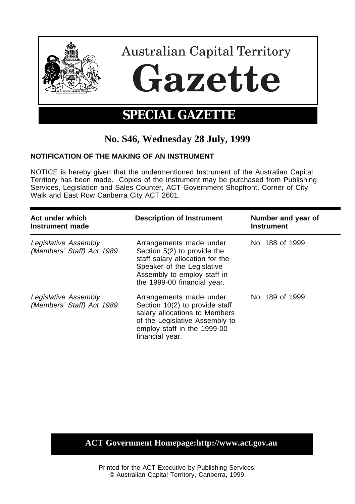

## **No. S46, Wednesday 28 July, 1999**

## **NOTIFICATION OF THE MAKING OF AN INSTRUMENT**

NOTICE is hereby given that the undermentioned Instrument of the Australian Capital Territory has been made. Copies of the Instrument may be purchased from Publishing Services, Legislation and Sales Counter, ACT Government Shopfront, Corner of City Walk and East Row Canberra City ACT 2601.

| Act under which<br>Instrument made                | <b>Description of Instrument</b>                                                                                                                                                      | Number and year of<br><b>Instrument</b> |
|---------------------------------------------------|---------------------------------------------------------------------------------------------------------------------------------------------------------------------------------------|-----------------------------------------|
| Legislative Assembly<br>(Members' Staff) Act 1989 | Arrangements made under<br>Section 5(2) to provide the<br>staff salary allocation for the<br>Speaker of the Legislative<br>Assembly to employ staff in<br>the 1999-00 financial year. | No. 188 of 1999                         |
| Legislative Assembly<br>(Members' Staff) Act 1989 | Arrangements made under<br>Section 10(2) to provide staff<br>salary allocations to Members<br>of the Legislative Assembly to<br>employ staff in the 1999-00<br>financial year.        | No. 189 of 1999                         |

## **ACT Government Homepage:http://www.act.gov.au**

Printed for the ACT Executive by Publishing Services. © Australian Capital Territory, Canberra, 1999.